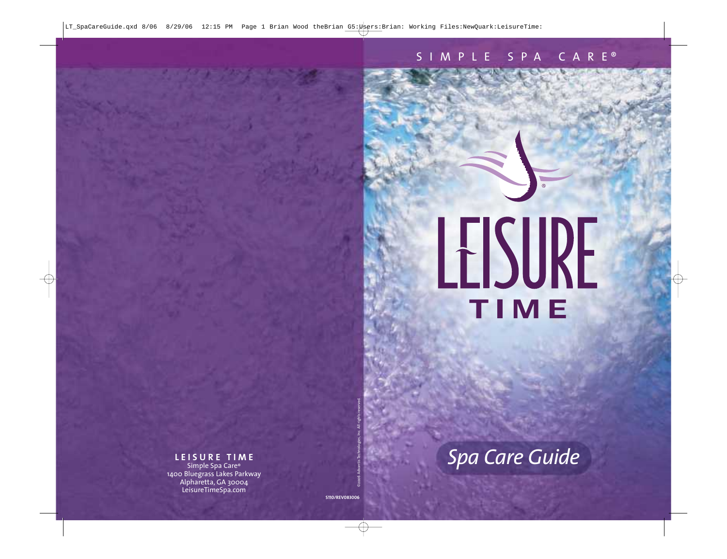# LEISURE

 $\circledR$ 

## *Spa Care Guide*

#### **LEISURE TIME**

Simple Spa Care ® 1400 Bluegrass Lakes Parkway Alpharetta, GA 30004 LeisureTimeSpa.com

S110/REV083006<br>©2006 Advantis Technologies, Inc. All rights reserved.<br>©2006 Advantis Technologies, Inc. All rights reserved.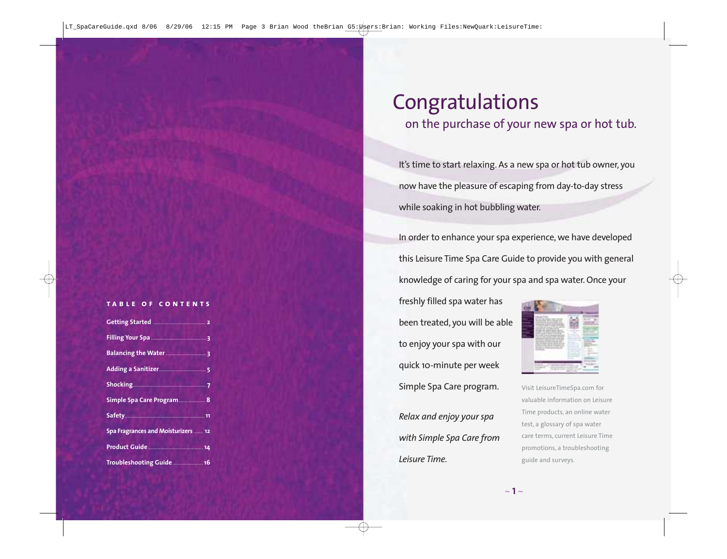#### **table of contents**

| Simple Spa Care Program  8          |
|-------------------------------------|
|                                     |
| Spa Fragrances and Moisturizers  12 |
| Product Guide                       |
| Troubleshooting Guide 16            |

### Congratulations

#### on the purchase of your new spa or hot tub.

It's time to start relaxing. As a new spa or hot tub owner, you now have the pleasure of escaping from day-to-day stress while soaking in hot bubbling water.

In order to enhance your spa experience, we have developed this Leisure Time Spa Care Guide to provide you with general knowledge of caring for your spa and spa water. Once your

freshly filled spa water has been treated, you will be able to enjoy your spa with our quick 10-minute per week Simple Spa Care program.

*Relax and enjoy your spa with Simple Spa Care from Leisure Time.*



Visit LeisureTimeSpa.com for valuable information on Leisure Time products, an online water test, a glossary of spa water care terms, current Leisure Time promotions, a troubleshooting guide and surveys.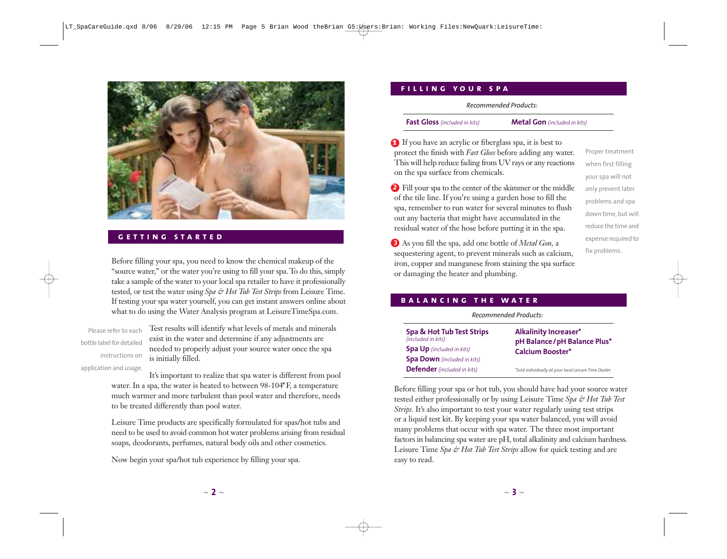

#### **getting started**

Before filling your spa, you need to know the chemical makeup of the "source water," or the water you're using to fill your spa. To do this, simply take a sample of the water to your local spa retailer to have it professionally tested, or test the water using *Spa & Hot Tub Test Strips* from Leisure Time. If testing your spa water yourself, you can get instant answers online about what to do using the Water Analysis program at LeisureTimeSpa.com.

Please refer to each bottle label for detailed instructions on application and usage.

Test results will identify what levels of metals and minerals exist in the water and determine if any adjustments are needed to properly adjust your source water once the spa is initially filled.

It's important to realize that spa water is different from pool water. In a spa, the water is heated to between 98-104°F, a temperature much warmer and more turbulent than pool water and therefore, needs to be treated differently than pool water.

Leisure Time products are specifically formulated for spas/hot tubs and need to be used to avoid common hot water problems arising from residual soaps, deodorants, perfumes, natural body oils and other cosmetics.

Now begin your spa/hot tub experience by filling your spa.

#### **filling your spa**

*Recommended Products:*

**Fast Gloss** *(included in kits)*

**Metal Gon** *(included in kits)*

If you have an acrylic or fiberglass spa, it is best to protect the finish with *Fast Gloss* before adding any water. This will help reduce fading from UV rays or any reactions on the spa surface from chemicals.

Fill your spa to the center of the skimmer or the middle of the tile line. If you're using a garden hose to fill the spa, remember to run water for several minutes to flush out any bacteria that might have accumulated in the residual water of the hose before putting it in the spa.

Proper treatment when first filling your spa will not only prevent later problems and spa down time, but will reduce the time and expense required to fix problems.

As you fill the spa, add one bottle of *Metal Gon,* a sequestering agent, to prevent minerals such as calcium, iron, copper and manganese from staining the spa surface or damaging the heater and plumbing.

#### **balancing the water**

*Recommended Products:*

| Spa & Hot Tub Test Strips<br>(included in kits) | <b>Alkalinity Increaser*</b>                             |
|-------------------------------------------------|----------------------------------------------------------|
| <b>Spa Up</b> (included in kits)                | pH Balance / pH Balance Plus*<br><b>Calcium Booster*</b> |
| <b>Spa Down</b> (included in kits)              |                                                          |
| <b>Defender</b> (included in kits)              | *Sold individually at your local Leisure Time Dealer.    |

Before filling your spa or hot tub, you should have had your source water tested either professionally or by using Leisure Time *Spa & Hot Tub Test Strips*. It's also important to test your water regularly using test strips or a liquid test kit. By keeping your spa water balanced, you will avoid many problems that occur with spa water. The three most important factors in balancing spa water are pH, total alkalinity and calcium hardness. Leisure Time *Spa & Hot Tub Test Strips* allow for quick testing and are easy to read.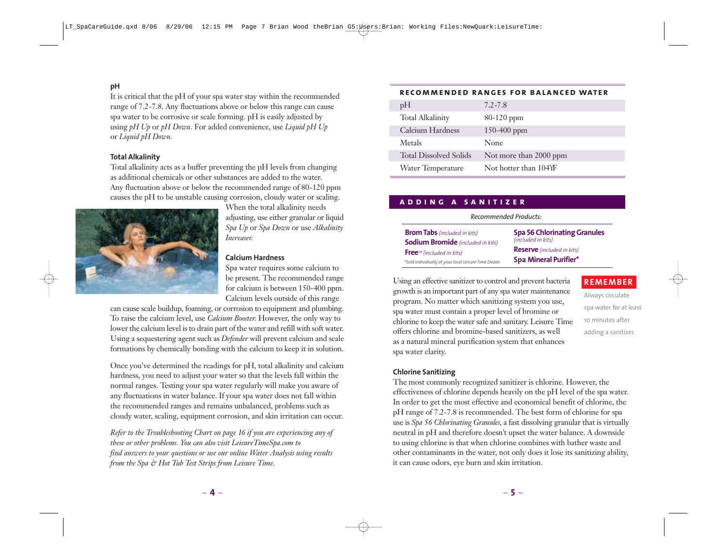#### **pH**

It is critical that the pH of your spa water stay within the recommended range of 7.2-7.8. Any fluctuations above or below this range can cause spa water to be corrosive or scale forming. pH is easily adjusted by using *pH Up* or *pH Down.* For added convenience, use *Liquid pH Up* or *Liquid pH Down.*

#### **Total Alkalinity**

Total alkalinity acts as a buffer preventing the pH levels from changing as additional chemicals or other substances are added to the water. Any fluctuation above or below the recommended range of 80-120 ppm causes the pH to be unstable causing corrosion, cloudy water or scaling.



When the total alkalinity needs adjusting, use either granular or liquid *Spa Up* or *Spa Down* or use *Alkalinity Increaser.*

#### **Calcium Hardness**

Spa water requires some calcium to be present. The recommended range for calcium is between 150-400 ppm. Calcium levels outside of this range

can cause scale buildup, foaming, or corrosion to equipment and plumbing. To raise the calcium level, use *Calcium Booster.* However, the only way to lower the calcium level is to drain part of the water and refill with soft water. Using a sequestering agent such as *Defender* will prevent calcium and scale formations by chemically bonding with the calcium to keep it in solution.

Once you've determined the readings for pH, total alkalinity and calcium hardness, you need to adjust your water so that the levels fall within the normal ranges. Testing your spa water regularly will make you aware of any fluctuations in water balance. If your spa water does not fall within the recommended ranges and remains unbalanced, problems such as cloudy water, scaling, equipment corrosion, and skin irritation can occur.

*Refer to the Troubleshooting Chart on page 16 if you are experiencing any of these or other problems. You can also visit LeisureTimeSpa.com to find answers to your questions or use our online Water Analysis using results from the Spa & Hot Tub Test Strips from Leisure Time.*

#### **recommended ranges for balanced water**

| pH                            | $7.2 - 7.8$            |
|-------------------------------|------------------------|
| <b>Total Alkalinity</b>       | $80-120$ ppm           |
| Calcium Hardness              | $150 - 400$ ppm        |
| Metals                        | None                   |
| <b>Total Dissolved Solids</b> | Not more than 2000 ppm |
| Water Temperature             | Not hotter than 104YF  |

#### **adding a sanitizer**

#### *Recommended Products:*

| <b>Brom Tabs</b> (included in kits)                   | <b>Spa 56 Chlorinating Granules</b> |  |
|-------------------------------------------------------|-------------------------------------|--|
| <b>Sodium Bromide</b> (included in kits)              | (included in kits)                  |  |
| $Freem$ (included in kits)                            | <b>Reserve</b> (included in kits)   |  |
| *Sold individually at your local Leisure Time Dealer. | <b>Spa Mineral Purifier*</b>        |  |

Using an effective sanitizer to control and prevent bacteria growth is an important part of any spa water maintenance program. No matter which sanitizing system you use, spa water must contain a proper level of bromine or chlorine to keep the water safe and sanitary. Leisure Time offers chlorine and bromine-based sanitizers, as well as a natural mineral purification system that enhances spa water clarity.

#### **REMEMBER**

Always circulate spa water for at least 10 minutes after adding a sanitizer.

#### **Chlorine Sanitizing**

The most commonly recognized sanitizer is chlorine. However, the effectiveness of chlorine depends heavily on the pH level of the spa water. In order to get the most effective and economical benefit of chlorine, the pH range of 7.2-7.8 is recommended. The best form of chlorine for spa use is *Spa 56 Chlorinating Granules*, a fast dissolving granular that is virtually neutral in pH and therefore doesn't upset the water balance. A downside to using chlorine is that when chlorine combines with bather waste and other contaminants in the water, not only does it lose its sanitizing ability, it can cause odors, eye burn and skin irritation.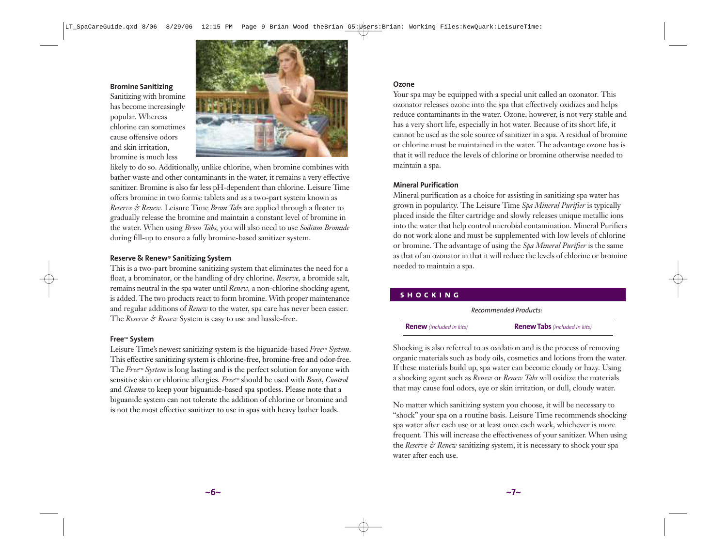**Bromine Sanitizing**

Sanitizing with bromine has become increasingly popular. Whereas chlorine can sometimes cause offensive odors and skin irritation, bromine is much less



likely to do so. Additionally, unlike chlorine, when bromine combines with bather waste and other contaminants in the water, it remains a very effective sanitizer. Bromine is also far less pH-dependent than chlorine. Leisure Time offers bromine in two forms: tablets and as a two-part system known as *Reserve & Renew.* Leisure Time *Brom Tabs* are applied through a floater to gradually release the bromine and maintain a constant level of bromine in the water. When using *Brom Tabs,* you will also need to use *Sodium Bromide* during fill-up to ensure a fully bromine-based sanitizer system.

#### **Reserve & Renew**® **Sanitizing System**

This is a two-part bromine sanitizing system that eliminates the need for a float, a brominator, or the handling of dry chlorine. *Reserve,* a bromide salt, remains neutral in the spa water until *Renew,* a non-chlorine shocking agent, is added. The two products react to form bromine. With proper maintenance and regular additions of *Renew* to the water, spa care has never been easier. The *Reserve & Renew* System is easy to use and hassle-free.

#### **Free**™ **System**

Leisure Time's newest sanitizing system is the biguanide-based *Free™ System*. This effective sanitizing system is chlorine-free, bromine-free and odor-free. The *Free™ System* is long lasting and is the perfect solution for anyone with sensitive skin or chlorine allergies. *Free™* should be used with *Boost*, *Control* and *Cleanse* to keep your biguanide-based spa spotless. Please note that a biguanide system can not tolerate the addition of chlorine or bromine and is not the most effective sanitizer to use in spas with heavy bather loads.

#### **Ozone**

Your spa may be equipped with a special unit called an ozonator. This ozonator releases ozone into the spa that effectively oxidizes and helps reduce contaminants in the water. Ozone, however, is not very stable and has a very short life, especially in hot water. Because of its short life, it cannot be used as the sole source of sanitizer in a spa. A residual of bromine or chlorine must be maintained in the water. The advantage ozone has is that it will reduce the levels of chlorine or bromine otherwise needed to maintain a spa.

#### **Mineral Purification**

Mineral purification as a choice for assisting in sanitizing spa water has grown in popularity. The Leisure Time *Spa Mineral Purifier* is typically placed inside the filter cartridge and slowly releases unique metallic ions into the water that help control microbial contamination. Mineral Purifiers do not work alone and must be supplemented with low levels of chlorine or bromine. The advantage of using the *Spa Mineral Purifier* is the same as that of an ozonator in that it will reduce the levels of chlorine or bromine needed to maintain a spa.

| <b>ISHOCKING</b> |                                 |                                      |  |
|------------------|---------------------------------|--------------------------------------|--|
|                  | Recommended Products:           |                                      |  |
|                  | <b>Renew</b> (included in kits) | <b>Renew Tabs</b> (included in kits) |  |

Shocking is also referred to as oxidation and is the process of removing organic materials such as body oils, cosmetics and lotions from the water. If these materials build up, spa water can become cloudy or hazy. Using a shocking agent such as *Renew* or *Renew Tabs* will oxidize the materials that may cause foul odors, eye or skin irritation, or dull, cloudy water.

No matter which sanitizing system you choose, it will be necessary to "shock" your spa on a routine basis. Leisure Time recommends shocking spa water after each use or at least once each week, whichever is more frequent. This will increase the effectiveness of your sanitizer. When using the *Reserve & Renew* sanitizing system, it is necessary to shock your spa water after each use.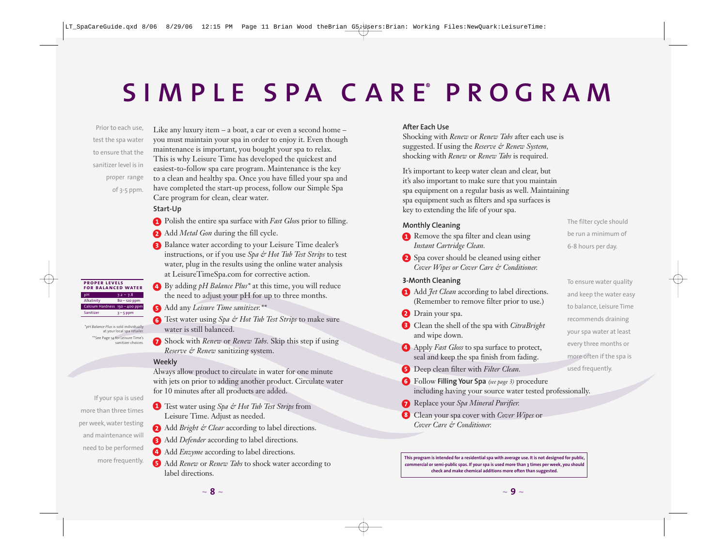# simple spa c are program

Prior to each use, test the spa water to ensure that the sanitizer level is in proper range of 3-5 ppm.

Like any luxury item – a boat, a car or even a second home – you must maintain your spa in order to enjoy it. Even though maintenance is important, you bought your spa to relax. This is why Leisure Time has developed the quickest and easiest-to-follow spa care program. Maintenance is the key to a clean and healthy spa. Once you have filled your spa and have completed the start-up process, follow our Simple Spa Care program for clean, clear water.

- **Start-Up** Polish the entire spa surface with *Fast Glos*s prior to filling.
- Add *Metal Gon* during the fill cycle.
- Balance water according to your Leisure Time dealer's instructions, or if you use *Spa & Hot Tub Test Strips* to test water, plug in the results using the online water analysis at LeisureTimeSpa.com for corrective action.
- By adding *pH Balance Plus\** at this time, you will reduce the need to adjust your pH for up to three months.
- Add any *Leisure Time sanitizer.\*\**

Test water using *Spa & Hot Tub Test Strips* to make sure water is still balanced.

Shock with *Renew* or *Renew Tabs.* Skip this step if using *Reserve & Renew* sanitizing system.

#### Weekly

**Weekly** Always allow product to circulate in water for one minute with jets on prior to adding another product. Circulate water for 10 minutes after all products are added.

- If your spa is used more than three times per week, water testing and maintenance will need to be performed more frequently.
- Test water using *Spa & Hot Tub Test Strips* from Leisure Time. Adjust as needed.
- 2 Add *Bright & Clear* according to label directions.
- Add *Defender* according to label directions.
- Add *Enzyme* according to label directions.
- Add *Renew* or *Renew Tabs* to shock water according to label directions.

#### **After Each Use**

**After Each Use** Shocking with *Renew* or *Renew Tabs* after each use is suggested. If using the *Reserve & Renew System,* shocking with *Renew* or *Renew Tabs* is required.

It's important to keep water clean and clear, but it's also important to make sure that you maintain spa equipment on a regular basis as well. Maintaining spa equipment such as filters and spa surfaces is key to extending the life of your spa.

- **Monthly Clean Clean** using *Instant Cartridge Clean.*
- Spa cover should be cleaned using either *Cover Wipes or Cover Care & Conditioner.*

#### **3**

- **Add** *Jet Clean* according to label directions. (Remember to remove filter prior to use.)
- **2** Drain your spa.
- Clean the shell of the spa with *CitraBright* and wipe down.
- Apply *Fast Gloss* to spa surface to protect, seal and keep the spa finish from fading.
- Deep clean filter with *Filter Clean.*
- Follow **Filling Your Spa** *(see page 3)* procedure including having your source water tested professionally.
- Replace your *Spa Mineral Purifier.*
- Clean your spa cover with *Cover Wipes* or *Cover Care & Conditioner.*

**This program is intended for a residential spa with average use. It is not designed for public, commercial or semi-public spas. If your spa is used more than 3 times per week, you should check and make chemical additions more often than suggested.**

The filter cycle should be run a minimum of 6-8 hours per day.

To ensure water quality and keep the water easy to balance, Leisure Time recommends draining your spa water at least every three months or more often if the spa is used frequently.

**proper levels for balanced water**  $7.2 - 7.8$  $\Delta$ lkalinity  $80 - 120$  ppm Calcium Hardness 150 – 400 ppm Sanitizer 3-5 ppm

\**pH Balance Plus* is sold individually at your local spa retailer \*\*See Page 14 for Leisure Time's sanitizer choices.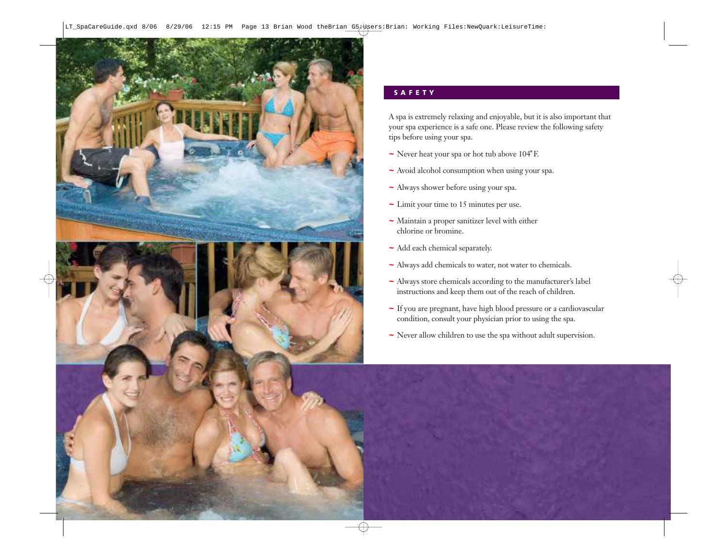

A spa is extremely relaxing and enjoyable, but it is also important that your spa experience is a safe one. Please review the following safety tips before using your spa.

- **~** Never heat your spa or hot tub above 104 F.
- **~** Avoid alcohol consumption when using your spa.
- **~** Always shower before using your spa.
- **~** Limit your time to 15 minutes per use.
- **~** Maintain a proper sanitizer level with either chlorine or bromine.
- **~** Add each chemical separately.
- **~** Always add chemicals to water, not water to chemicals.
- **~** Always store chemicals according to the manufacturer's label instructions and keep them out of the reach of children.
- **~** If you are pregnant, have high blood pressure or a cardiovascular condition, consult your physician prior to using the spa.
- **~** Never allow children to use the spa without adult supervision.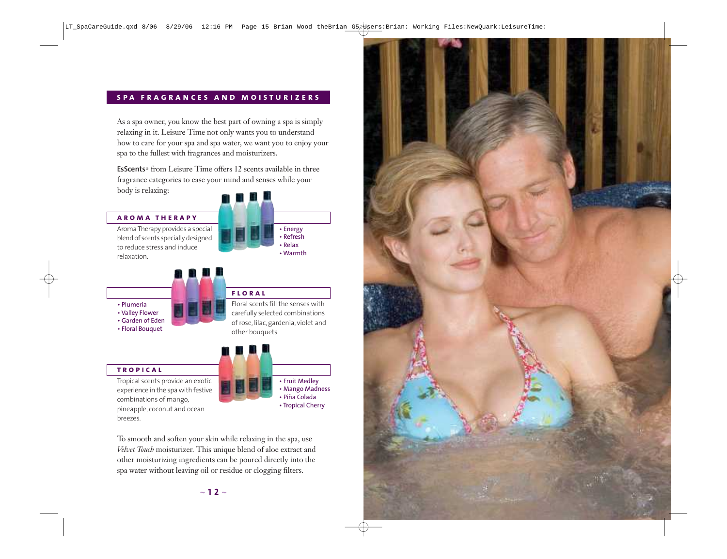#### **spa fragrances and moisturizers**

As a spa owner, you know the best part of owning a spa is simply relaxing in it. Leisure Time not only wants you to understand how to care for your spa and spa water, we want you to enjoy your spa to the fullest with fragrances and moisturizers.

**EsScents**® from Leisure Time offers 12 scents available in three fragrance categories to ease your mind and senses while your body is relaxing:

#### **aroma therapy**

Aroma Therapy provides a special blend of scents specially designed to reduce stress and induce relaxation.





- Valley Flower
- Garden of Eden
- Floral Bouquet

#### **floral** Floral scents fill the senses with carefully selected combinations

of rose, lilac, gardenia, violet and other bouquets.

#### **tropical**

Tropical scents provide an exotic experience in the spa with festive combinations of mango, pineapple, coconut and ocean breezes.

• Fruit Medley • Mango Madness • Piña Colada • Tropical Cherry

To smooth and soften your skin while relaxing in the spa, use *Velvet Touch* moisturizer. This unique blend of aloe extract and other moisturizing ingredients can be poured directly into the spa water without leaving oil or residue or clogging filters.

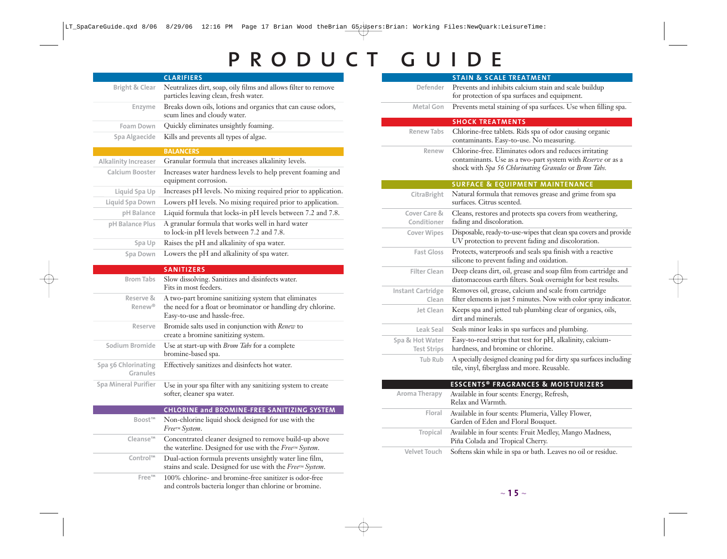# PRODUCT GUIDE

|                                            | <b>CLARIFIERS</b>                                                                                                                                    |
|--------------------------------------------|------------------------------------------------------------------------------------------------------------------------------------------------------|
| <b>Bright &amp; Clear</b>                  | Neutralizes dirt, soap, oily films and allows filter to remove<br>particles leaving clean, fresh water.                                              |
| <b>Enzyme</b>                              | Breaks down oils, lotions and organics that can cause odors,<br>scum lines and cloudy water.                                                         |
| <b>Foam Down</b>                           | Quickly eliminates unsightly foaming.                                                                                                                |
| Spa Algaecide                              | Kills and prevents all types of algae.                                                                                                               |
|                                            | <b>BALANCERS</b>                                                                                                                                     |
| Alkalinity Increaser                       | Granular formula that increases alkalinity levels.                                                                                                   |
| <b>Calcium Booster</b>                     | Increases water hardness levels to help prevent foaming and<br>equipment corrosion.                                                                  |
| Liquid Spa Up                              | Increases pH levels. No mixing required prior to application.                                                                                        |
| Liquid Spa Down                            | Lowers pH levels. No mixing required prior to application.                                                                                           |
| pH Balance                                 | Liquid formula that locks-in pH levels between 7.2 and 7.8.                                                                                          |
| pH Balance Plus                            | A granular formula that works well in hard water<br>to lock-in pH levels between 7.2 and 7.8.                                                        |
| Spa Up                                     | Raises the pH and alkalinity of spa water.                                                                                                           |
| Spa Down                                   | Lowers the pH and alkalinity of spa water.                                                                                                           |
|                                            | <b>SANITIZERS</b>                                                                                                                                    |
| <b>Brom Tabs</b>                           | Slow dissolving. Sanitizes and disinfects water.<br>Fits in most feeders.                                                                            |
| <b>Reserve &amp;</b><br>Renew <sup>®</sup> | A two-part bromine sanitizing system that eliminates<br>the need for a float or brominator or handling dry chlorine.<br>Easy-to-use and hassle-free. |
| Reserve                                    | Bromide salts used in conjunction with Renew to<br>create a bromine sanitizing system.                                                               |
| Sodium Bromide                             | Use at start-up with <i>Brom Tabs</i> for a complete<br>bromine-based spa.                                                                           |
| Spa 56 Chlorinating<br>Granules            | Effectively sanitizes and disinfects hot water.                                                                                                      |
| <b>Spa Mineral Purifier</b>                | Use in your spa filter with any sanitizing system to create<br>softer, cleaner spa water.                                                            |
|                                            | <b>CHLORINE and BROMINE-FREE SANITIZING SYSTEM</b>                                                                                                   |
| <b>Boost™</b>                              | Non-chlorine liquid shock designed for use with the<br>Free™ System.                                                                                 |
| Cleanse <sup>™</sup>                       | Concentrated cleaner designed to remove build-up above<br>the waterline. Designed for use with the Free <sup>TM</sup> System.                        |
| Control™                                   | Dual-action formula prevents unsightly water line film,<br>stains and scale. Designed for use with the FreerM System.                                |

**Free™** 100% chlorine- and bromine-free sanitizer is odor-free and controls bacteria longer than chlorine or bromine.

|                                       | <b>STAIN &amp; SCALE TREATMENT</b>                                                                                                                                             |
|---------------------------------------|--------------------------------------------------------------------------------------------------------------------------------------------------------------------------------|
| Defender                              | Prevents and inhibits calcium stain and scale buildup                                                                                                                          |
|                                       | for protection of spa surfaces and equipment.                                                                                                                                  |
| <b>Metal Gon</b>                      | Prevents metal staining of spa surfaces. Use when filling spa.                                                                                                                 |
|                                       | <b>SHOCK TREATMENTS</b>                                                                                                                                                        |
| <b>Renew Tabs</b>                     | Chlorine-free tablets. Rids spa of odor causing organic<br>contaminants. Easy-to-use. No measuring.                                                                            |
| Renew                                 | Chlorine-free. Eliminates odors and reduces irritating<br>contaminants. Use as a two-part system with Reserve or as a<br>shock with Spa 56 Chlorinating Granules or Brom Tabs. |
|                                       | <b>SURFACE &amp; EQUIPMENT MAINTENANCE</b>                                                                                                                                     |
| CitraBright                           | Natural formula that removes grease and grime from spa<br>surfaces. Citrus scented.                                                                                            |
| Cover Care &<br>Conditioner           | Cleans, restores and protects spa covers from weathering,<br>fading and discoloration.                                                                                         |
| <b>Cover Wipes</b>                    | Disposable, ready-to-use-wipes that clean spa covers and provide<br>UV protection to prevent fading and discoloration.                                                         |
| <b>Fast Gloss</b>                     | Protects, waterproofs and seals spa finish with a reactive<br>silicone to prevent fading and oxidation.                                                                        |
| <b>Filter Clean</b>                   | Deep cleans dirt, oil, grease and soap film from cartridge and<br>diatomaceous earth filters. Soak overnight for best results.                                                 |
| <b>Instant Cartridge</b><br>Clean     | Removes oil, grease, calcium and scale from cartridge<br>filter elements in just 5 minutes. Now with color spray indicator.                                                    |
| Jet Clean                             | Keeps spa and jetted tub plumbing clear of organics, oils,<br>dirt and minerals.                                                                                               |
| Leak Seal                             | Seals minor leaks in spa surfaces and plumbing.                                                                                                                                |
| Spa & Hot Water<br><b>Test Strips</b> | Easy-to-read strips that test for pH, alkalinity, calcium-<br>hardness, and bromine or chlorine.                                                                               |
| <b>Tub Rub</b>                        | A specially designed cleaning pad for dirty spa surfaces including<br>tile, vinyl, fiberglass and more. Reusable.                                                              |
|                                       | <b>ESSCENTS® FRAGRANCES &amp; MOISTURIZERS</b>                                                                                                                                 |
| Aroma Therapy                         | Available in four scents: Energy, Refresh,<br>Relax and Warmth.                                                                                                                |
| Floral                                | Available in four scents: Plumeria, Valley Flower,<br>Garden of Eden and Floral Bouquet.                                                                                       |
| Tropical                              | Available in four scents: Fruit Medley, Mango Madness,<br>Piña Colada and Tropical Cherry.                                                                                     |
| <b>Velvet Touch</b>                   | Softens skin while in spa or bath. Leaves no oil or residue.                                                                                                                   |